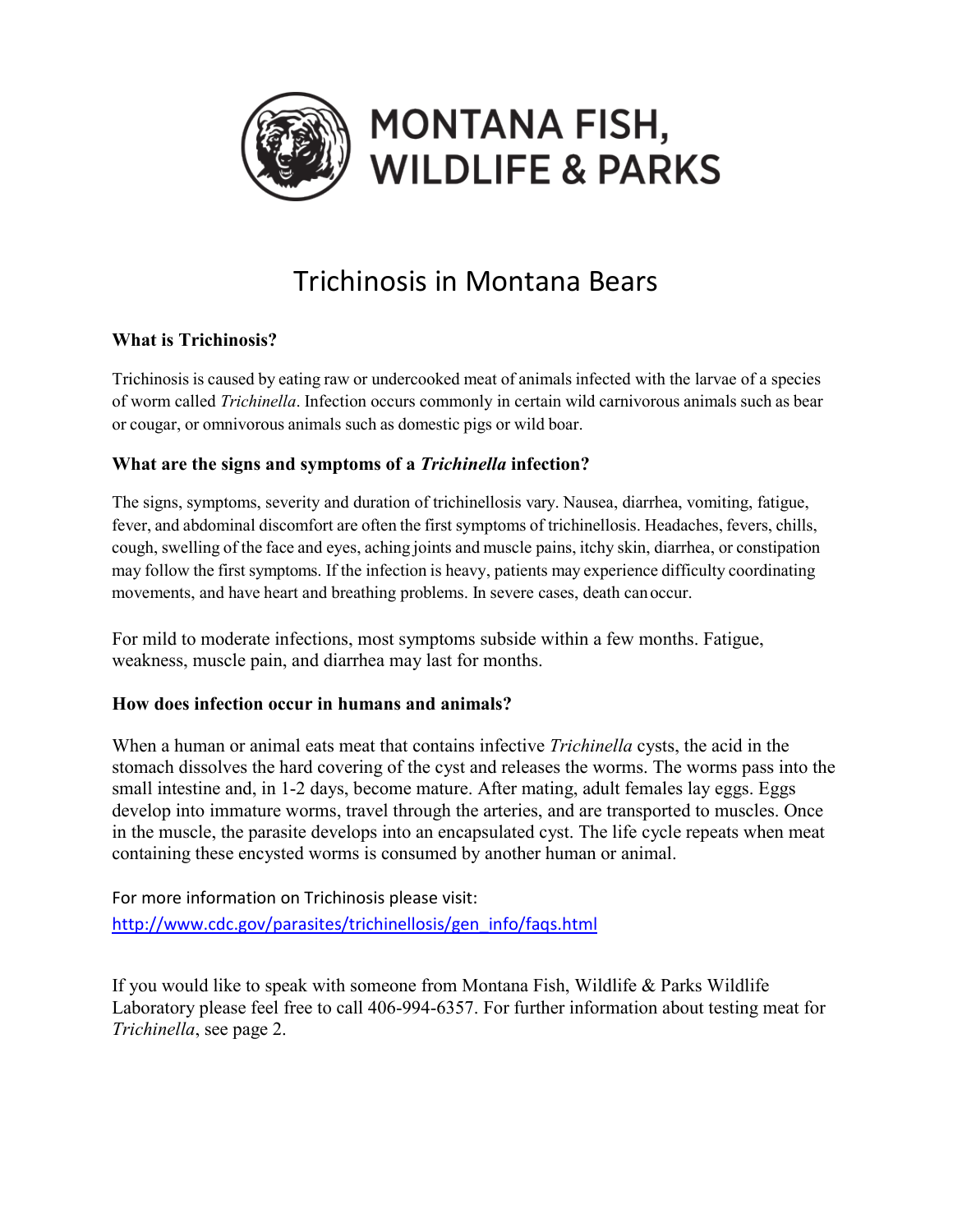

# Trichinosis in Montana Bears

# **What is Trichinosis?**

Trichinosis is caused by eating raw or undercooked meat of animals infected with the larvae of a species of worm called *Trichinella*. Infection occurs commonly in certain wild carnivorous animals such as bear or cougar, or omnivorous animals such as domestic pigs or wild boar.

## **What are the signs and symptoms of a** *Trichinella* **infection?**

The signs, symptoms, severity and duration of trichinellosis vary. Nausea, diarrhea, vomiting, fatigue, fever, and abdominal discomfort are often the first symptoms of trichinellosis. Headaches, fevers, chills, cough, swelling of the face and eyes, aching joints and muscle pains, itchy skin, diarrhea, or constipation may follow the first symptoms. If the infection is heavy, patients may experience difficulty coordinating movements, and have heart and breathing problems. In severe cases, death canoccur.

For mild to moderate infections, most symptoms subside within a few months. Fatigue, weakness, muscle pain, and diarrhea may last for months.

## **How does infection occur in humans and animals?**

When a human or animal eats meat that contains infective *Trichinella* cysts, the acid in the stomach dissolves the hard covering of the cyst and releases the worms. The worms pass into the small intestine and, in 1-2 days, become mature. After mating, adult females lay eggs. Eggs develop into immature worms, travel through the arteries, and are transported to muscles. Once in the muscle, the parasite develops into an encapsulated cyst. The life cycle repeats when meat containing these encysted worms is consumed by another human or animal.

For more information on Trichinosis please visit: [http://www.cdc.gov/parasites/trichinellosis/gen\\_info/faqs.html](http://www.cdc.gov/parasites/trichinellosis/gen_info/faqs.html)

If you would like to speak with someone from Montana Fish, Wildlife & Parks Wildlife Laboratory please feel free to call 406-994-6357. For further information about testing meat for *Trichinella*, see page 2.